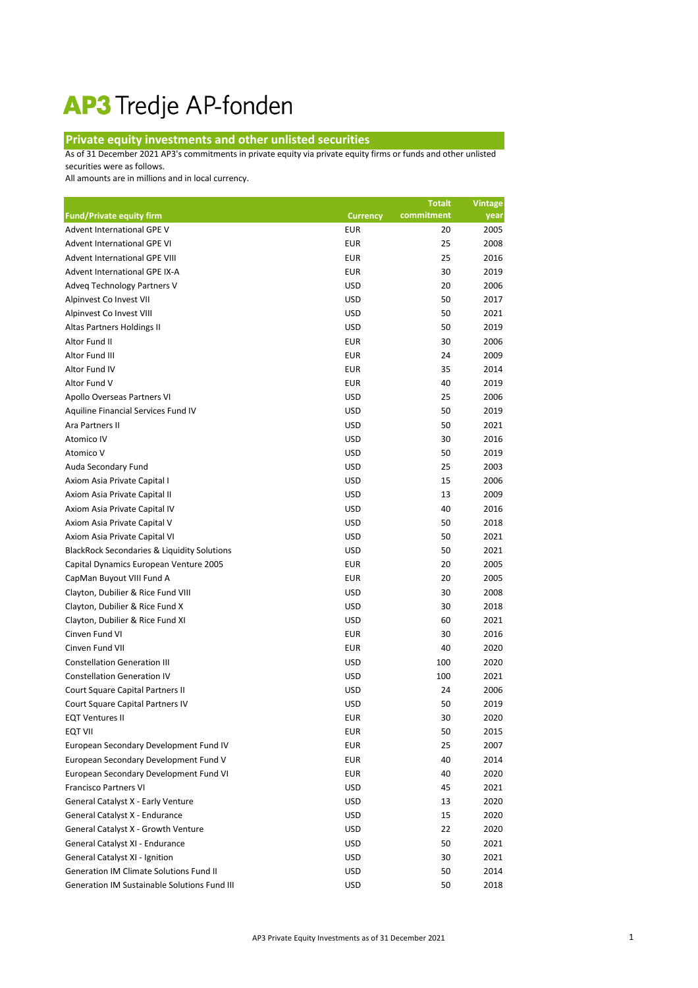## AP3 Tredje AP-fonden

## **Private equity investments and other unlisted securities**

As of 31 December 2021 AP3's commitments in private equity via private equity firms or funds and other unlisted securities were as follows.

All amounts are in millions and in local currency.

|                                                        |                 | <b>Totalt</b> | <b>Vintage</b> |
|--------------------------------------------------------|-----------------|---------------|----------------|
| <b>Fund/Private equity firm</b>                        | <b>Currency</b> | commitment    | year           |
| Advent International GPE V                             | <b>EUR</b>      | 20            | 2005           |
| Advent International GPE VI                            | <b>EUR</b>      | 25            | 2008           |
| <b>Advent International GPE VIII</b>                   | <b>EUR</b>      | 25            | 2016           |
| Advent International GPE IX-A                          | <b>EUR</b>      | 30            | 2019           |
| Adveq Technology Partners V                            | <b>USD</b>      | 20            | 2006           |
| Alpinvest Co Invest VII                                | <b>USD</b>      | 50            | 2017           |
| Alpinvest Co Invest VIII                               | <b>USD</b>      | 50            | 2021           |
| Altas Partners Holdings II                             | <b>USD</b>      | 50            | 2019           |
| Altor Fund II                                          | <b>EUR</b>      | 30            | 2006           |
| Altor Fund III                                         | <b>EUR</b>      | 24            | 2009           |
| Altor Fund IV                                          | <b>EUR</b>      | 35            | 2014           |
| Altor Fund V                                           | <b>EUR</b>      | 40            | 2019           |
| Apollo Overseas Partners VI                            | <b>USD</b>      | 25            | 2006           |
| Aquiline Financial Services Fund IV                    | <b>USD</b>      | 50            | 2019           |
| Ara Partners II                                        | <b>USD</b>      | 50            | 2021           |
| Atomico IV                                             | <b>USD</b>      | 30            | 2016           |
| Atomico V                                              | <b>USD</b>      | 50            | 2019           |
| Auda Secondary Fund                                    | <b>USD</b>      | 25            | 2003           |
| Axiom Asia Private Capital I                           | <b>USD</b>      | 15            | 2006           |
| Axiom Asia Private Capital II                          | <b>USD</b>      | 13            | 2009           |
| Axiom Asia Private Capital IV                          | <b>USD</b>      | 40            | 2016           |
| Axiom Asia Private Capital V                           | <b>USD</b>      | 50            | 2018           |
| Axiom Asia Private Capital VI                          | <b>USD</b>      | 50            | 2021           |
| <b>BlackRock Secondaries &amp; Liquidity Solutions</b> | <b>USD</b>      | 50            | 2021           |
| Capital Dynamics European Venture 2005                 | <b>EUR</b>      | 20            | 2005           |
| CapMan Buyout VIII Fund A                              | <b>EUR</b>      | 20            | 2005           |
| Clayton, Dubilier & Rice Fund VIII                     | <b>USD</b>      | 30            | 2008           |
| Clayton, Dubilier & Rice Fund X                        | <b>USD</b>      | 30            | 2018           |
| Clayton, Dubilier & Rice Fund XI                       | <b>USD</b>      | 60            | 2021           |
| Cinven Fund VI                                         | <b>EUR</b>      | 30            | 2016           |
| Cinven Fund VII                                        | <b>EUR</b>      | 40            | 2020           |
| <b>Constellation Generation III</b>                    | <b>USD</b>      | 100           | 2020           |
| <b>Constellation Generation IV</b>                     | <b>USD</b>      | 100           | 2021           |
| Court Square Capital Partners II                       | <b>USD</b>      | 24            | 2006           |
| Court Square Capital Partners IV                       | <b>USD</b>      | 50            | 2019           |
| <b>EQT Ventures II</b>                                 | <b>EUR</b>      | 30            | 2020           |
| <b>EQT VII</b>                                         | <b>EUR</b>      | 50            | 2015           |
| European Secondary Development Fund IV                 | <b>EUR</b>      | 25            | 2007           |
| European Secondary Development Fund V                  | <b>EUR</b>      | 40            | 2014           |
| European Secondary Development Fund VI                 | <b>EUR</b>      | 40            | 2020           |
| <b>Francisco Partners VI</b>                           | <b>USD</b>      | 45            | 2021           |
| General Catalyst X - Early Venture                     | <b>USD</b>      | 13            | 2020           |
| General Catalyst X - Endurance                         | <b>USD</b>      | 15            | 2020           |
| General Catalyst X - Growth Venture                    | <b>USD</b>      | 22            | 2020           |
| General Catalyst XI - Endurance                        | <b>USD</b>      | 50            | 2021           |
| General Catalyst XI - Ignition                         | <b>USD</b>      | 30            | 2021           |
| <b>Generation IM Climate Solutions Fund II</b>         | <b>USD</b>      | 50            | 2014           |
| Generation IM Sustainable Solutions Fund III           | <b>USD</b>      | 50            | 2018           |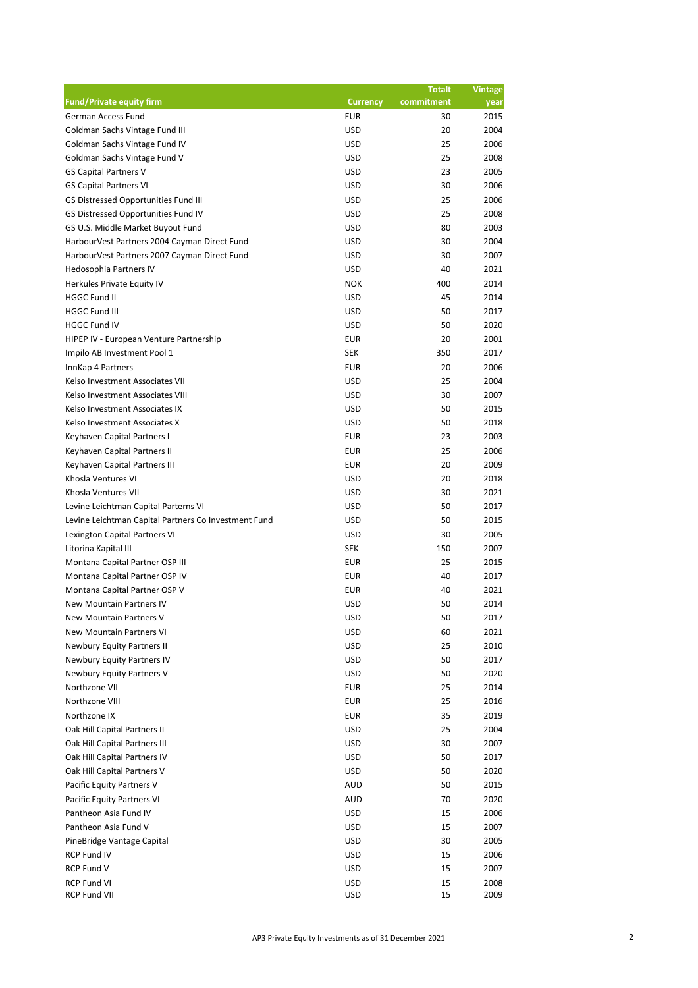|                                                      |                 | <b>Totalt</b> | <b>Vintage</b> |
|------------------------------------------------------|-----------------|---------------|----------------|
| <b>Fund/Private equity firm</b>                      | <b>Currency</b> | commitment    | year           |
| German Access Fund                                   | <b>EUR</b>      | 30            | 2015           |
| Goldman Sachs Vintage Fund III                       | <b>USD</b>      | 20            | 2004           |
| Goldman Sachs Vintage Fund IV                        | <b>USD</b>      | 25            | 2006           |
| Goldman Sachs Vintage Fund V                         | <b>USD</b>      | 25            | 2008           |
| <b>GS Capital Partners V</b>                         | <b>USD</b>      | 23            | 2005           |
| <b>GS Capital Partners VI</b>                        | <b>USD</b>      | 30            | 2006           |
| GS Distressed Opportunities Fund III                 | <b>USD</b>      | 25            | 2006           |
| GS Distressed Opportunities Fund IV                  | <b>USD</b>      | 25            | 2008           |
| GS U.S. Middle Market Buyout Fund                    | <b>USD</b>      | 80            | 2003           |
| HarbourVest Partners 2004 Cayman Direct Fund         | <b>USD</b>      | 30            | 2004           |
| HarbourVest Partners 2007 Cayman Direct Fund         | <b>USD</b>      | 30            | 2007           |
| Hedosophia Partners IV                               | <b>USD</b>      | 40            | 2021           |
| Herkules Private Equity IV                           | <b>NOK</b>      | 400           | 2014           |
| <b>HGGC Fund II</b>                                  | <b>USD</b>      | 45            | 2014           |
| <b>HGGC Fund III</b>                                 | <b>USD</b>      | 50            | 2017           |
| <b>HGGC Fund IV</b>                                  | <b>USD</b>      | 50            | 2020           |
| HIPEP IV - European Venture Partnership              | <b>EUR</b>      | 20            | 2001           |
| Impilo AB Investment Pool 1                          | <b>SEK</b>      | 350           | 2017           |
| InnKap 4 Partners                                    | <b>EUR</b>      | 20            | 2006           |
| Kelso Investment Associates VII                      | <b>USD</b>      | 25            | 2004           |
| Kelso Investment Associates VIII                     | <b>USD</b>      | 30            | 2007           |
| Kelso Investment Associates IX                       | <b>USD</b>      | 50            | 2015           |
| Kelso Investment Associates X                        | <b>USD</b>      | 50            | 2018           |
| Keyhaven Capital Partners I                          | <b>EUR</b>      | 23            | 2003           |
| Keyhaven Capital Partners II                         | <b>EUR</b>      | 25            | 2006           |
| Keyhaven Capital Partners III                        | <b>EUR</b>      | 20            | 2009           |
| Khosla Ventures VI                                   | <b>USD</b>      | 20            | 2018           |
| Khosla Ventures VII                                  | <b>USD</b>      | 30            | 2021           |
| Levine Leichtman Capital Parterns VI                 | <b>USD</b>      | 50            | 2017           |
| Levine Leichtman Capital Partners Co Investment Fund | <b>USD</b>      | 50            | 2015           |
| Lexington Capital Partners VI                        | <b>USD</b>      | 30            | 2005           |
| Litorina Kapital III                                 | <b>SEK</b>      | 150           | 2007           |
| Montana Capital Partner OSP III                      | <b>EUR</b>      | 25            | 2015           |
| Montana Capital Partner OSP IV                       | <b>EUR</b>      | 40            | 2017           |
| Montana Capital Partner OSP V                        | <b>EUR</b>      | 40            | 2021           |
| New Mountain Partners IV                             | <b>USD</b>      | 50            | 2014           |
|                                                      |                 |               |                |
| New Mountain Partners V                              | <b>USD</b>      | 50            | 2017           |
| <b>New Mountain Partners VI</b>                      | <b>USD</b>      | 60            | 2021           |
| Newbury Equity Partners II                           | <b>USD</b>      | 25            | 2010           |
| Newbury Equity Partners IV                           | <b>USD</b>      | 50            | 2017           |
| Newbury Equity Partners V                            | <b>USD</b>      | 50            | 2020           |
| Northzone VII                                        | <b>EUR</b>      | 25            | 2014           |
| Northzone VIII                                       | <b>EUR</b>      | 25            | 2016           |
| Northzone IX                                         | <b>EUR</b>      | 35            | 2019           |
| Oak Hill Capital Partners II                         | <b>USD</b>      | 25            | 2004           |
| Oak Hill Capital Partners III                        | <b>USD</b>      | 30            | 2007           |
| Oak Hill Capital Partners IV                         | <b>USD</b>      | 50            | 2017           |
| Oak Hill Capital Partners V                          | <b>USD</b>      | 50            | 2020           |
| Pacific Equity Partners V                            | <b>AUD</b>      | 50            | 2015           |
| Pacific Equity Partners VI                           | <b>AUD</b>      | 70            | 2020           |
| Pantheon Asia Fund IV                                | <b>USD</b>      | 15            | 2006           |
| Pantheon Asia Fund V                                 | <b>USD</b>      | 15            | 2007           |
| PineBridge Vantage Capital                           | <b>USD</b>      | 30            | 2005           |
| <b>RCP Fund IV</b>                                   | <b>USD</b>      | 15            | 2006           |
| RCP Fund V                                           | <b>USD</b>      | 15            | 2007           |
| <b>RCP Fund VI</b>                                   | <b>USD</b>      | 15            | 2008           |
| <b>RCP Fund VII</b>                                  | <b>USD</b>      | 15            | 2009           |